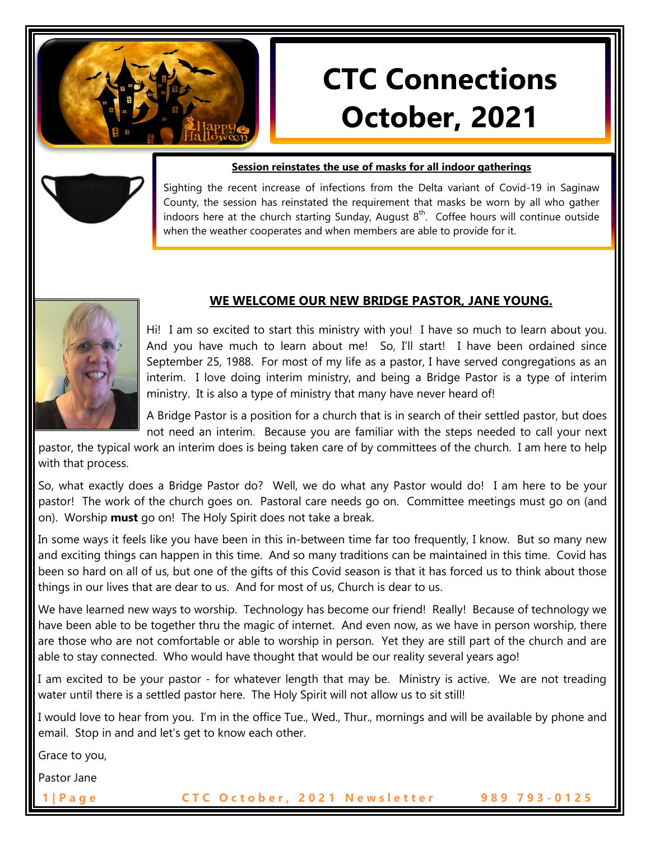

# **CTC Connections October, 2021**

#### **Session reinstates the use of masks for all indoor gatherings**

Sighting the recent increase of infections from the Delta variant of Covid-19 in Saginaw County, the session has reinstated the requirement that masks be worn by all who gather indoors here at the church starting Sunday, August  $8<sup>th</sup>$ . Coffee hours will continue outside when the weather cooperates and when members are able to provide for it.



## **WE WELCOME OUR NEW BRIDGE PASTOR, JANE YOUNG.**

Hi! I am so excited to start this ministry with you! I have so much to learn about you. And you have much to learn about me! So, I'll start! I have been ordained since September 25, 1988. For most of my life as a pastor, I have served congregations as an interim. I love doing interim ministry, and being a Bridge Pastor is a type of interim ministry. It is also a type of ministry that many have never heard of!

A Bridge Pastor is a position for a church that is in search of their settled pastor, but does not need an interim. Because you are familiar with the steps needed to call your next

pastor, the typical work an interim does is being taken care of by committees of the church. I am here to help with that process.

So, what exactly does a Bridge Pastor do? Well, we do what any Pastor would do! I am here to be your pastor! The work of the church goes on. Pastoral care needs go on. Committee meetings must go on (and on). Worship **must** go on! The Holy Spirit does not take a break.

In some ways it feels like you have been in this in-between time far too frequently, I know. But so many new and exciting things can happen in this time. And so many traditions can be maintained in this time. Covid has been so hard on all of us, but one of the gifts of this Covid season is that it has forced us to think about those things in our lives that are dear to us. And for most of us, Church is dear to us.

We have learned new ways to worship. Technology has become our friend! Really! Because of technology we have been able to be together thru the magic of internet. And even now, as we have in person worship, there are those who are not comfortable or able to worship in person. Yet they are still part of the church and are able to stay connected. Who would have thought that would be our reality several years ago!

I am excited to be your pastor - for whatever length that may be. Ministry is active. We are not treading water until there is a settled pastor here. The Holy Spirit will not allow us to sit still!

I would love to hear from you. I'm in the office Tue., Wed., Thur., mornings and will be available by phone and email. Stop in and and let's get to know each other.

Grace to you,

Pastor Jane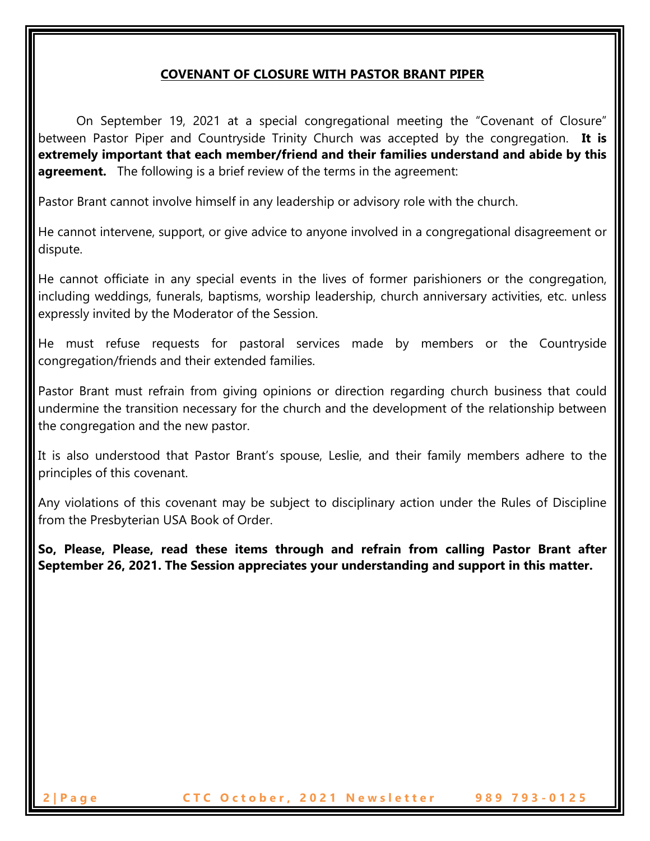# **COVENANT OF CLOSURE WITH PASTOR BRANT PIPER**

On September 19, 2021 at a special congregational meeting the "Covenant of Closure" between Pastor Piper and Countryside Trinity Church was accepted by the congregation. **It is extremely important that each member/friend and their families understand and abide by this agreement.** The following is a brief review of the terms in the agreement:

Pastor Brant cannot involve himself in any leadership or advisory role with the church.

He cannot intervene, support, or give advice to anyone involved in a congregational disagreement or dispute.

He cannot officiate in any special events in the lives of former parishioners or the congregation, including weddings, funerals, baptisms, worship leadership, church anniversary activities, etc. unless expressly invited by the Moderator of the Session.

He must refuse requests for pastoral services made by members or the Countryside congregation/friends and their extended families.

Pastor Brant must refrain from giving opinions or direction regarding church business that could undermine the transition necessary for the church and the development of the relationship between the congregation and the new pastor.

It is also understood that Pastor Brant's spouse, Leslie, and their family members adhere to the principles of this covenant.

Any violations of this covenant may be subject to disciplinary action under the Rules of Discipline from the Presbyterian USA Book of Order.

**So, Please, Please, read these items through and refrain from calling Pastor Brant after September 26, 2021. The Session appreciates your understanding and support in this matter.**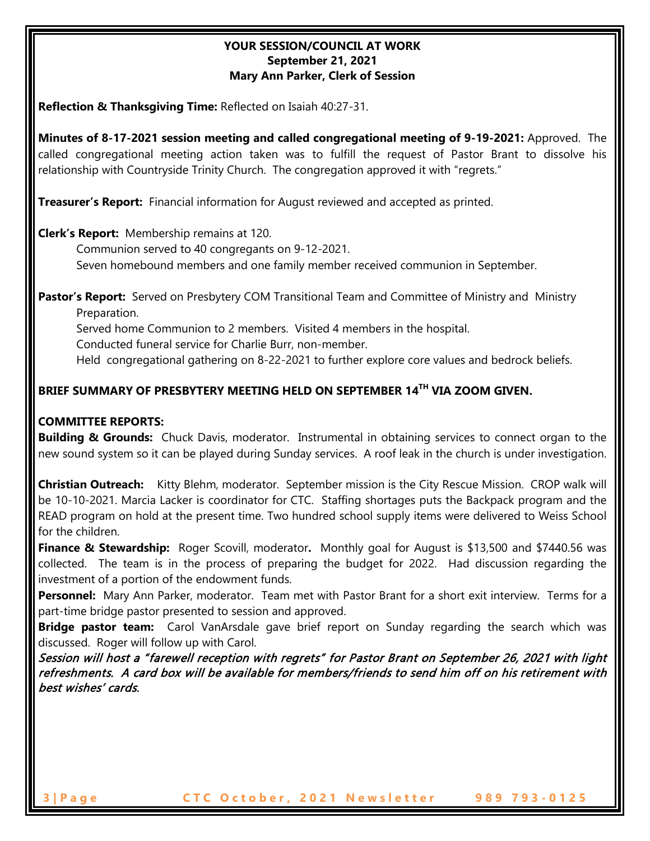## **YOUR SESSION/COUNCIL AT WORK September 21, 2021 Mary Ann Parker, Clerk of Session**

**Reflection & Thanksgiving Time:** Reflected on Isaiah 40:27-31.

**Minutes of 8-17-2021 session meeting and called congregational meeting of 9-19-2021:** Approved. The called congregational meeting action taken was to fulfill the request of Pastor Brant to dissolve his relationship with Countryside Trinity Church. The congregation approved it with "regrets."

**Treasurer's Report:** Financial information for August reviewed and accepted as printed.

**Clerk's Report:** Membership remains at 120.

Communion served to 40 congregants on 9-12-2021.

Seven homebound members and one family member received communion in September.

Pastor's Report: Served on Presbytery COM Transitional Team and Committee of Ministry and Ministry Preparation.

Served home Communion to 2 members. Visited 4 members in the hospital.

Conducted funeral service for Charlie Burr, non-member.

Held congregational gathering on 8-22-2021 to further explore core values and bedrock beliefs.

# **BRIEF SUMMARY OF PRESBYTERY MEETING HELD ON SEPTEMBER 14TH VIA ZOOM GIVEN.**

## **COMMITTEE REPORTS:**

**Building & Grounds:** Chuck Davis, moderator. Instrumental in obtaining services to connect organ to the new sound system so it can be played during Sunday services. A roof leak in the church is under investigation.

**Christian Outreach:** Kitty Blehm, moderator. September mission is the City Rescue Mission. CROP walk will be 10-10-2021. Marcia Lacker is coordinator for CTC. Staffing shortages puts the Backpack program and the READ program on hold at the present time. Two hundred school supply items were delivered to Weiss School for the children.

**Finance & Stewardship:** Roger Scovill, moderator**.** Monthly goal for August is \$13,500 and \$7440.56 was collected. The team is in the process of preparing the budget for 2022. Had discussion regarding the investment of a portion of the endowment funds.

**Personnel:** Mary Ann Parker, moderator. Team met with Pastor Brant for a short exit interview. Terms for a part-time bridge pastor presented to session and approved.

**Bridge pastor team:** Carol VanArsdale gave brief report on Sunday regarding the search which was discussed. Roger will follow up with Carol.

Session will host a "farewell reception with regrets" for Pastor Brant on September 26, 2021 with light refreshments. A card box will be available for members/friends to send him off on his retirement with best wishes' cards.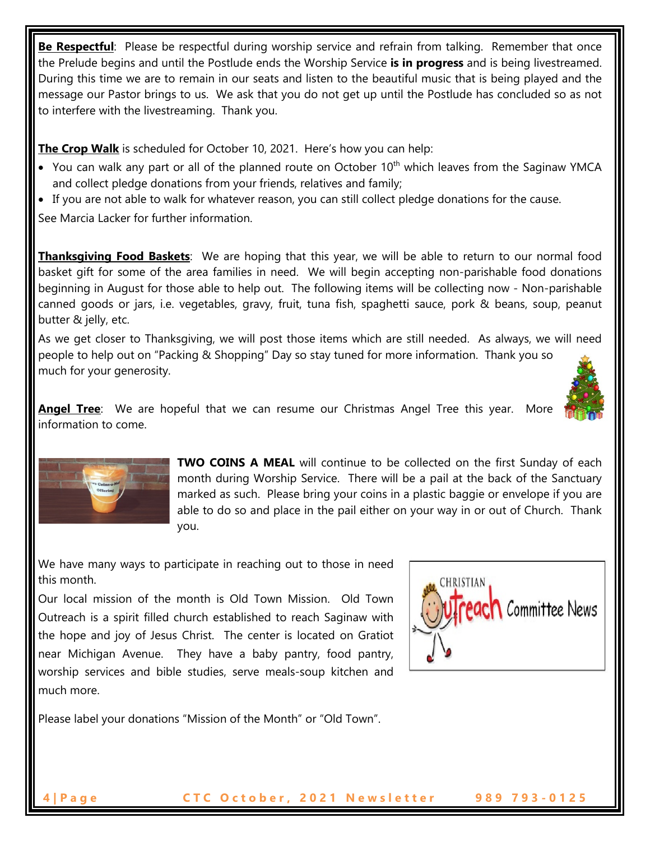**Be Respectful**: Please be respectful during worship service and refrain from talking. Remember that once the Prelude begins and until the Postlude ends the Worship Service **is in progress** and is being livestreamed. During this time we are to remain in our seats and listen to the beautiful music that is being played and the message our Pastor brings to us. We ask that you do not get up until the Postlude has concluded so as not to interfere with the livestreaming. Thank you.

**The Crop Walk** is scheduled for October 10, 2021. Here's how you can help:

- You can walk any part or all of the planned route on October 10<sup>th</sup> which leaves from the Saginaw YMCA and collect pledge donations from your friends, relatives and family;
- If you are not able to walk for whatever reason, you can still collect pledge donations for the cause.

See Marcia Lacker for further information.

**Thanksgiving Food Baskets**: We are hoping that this year, we will be able to return to our normal food basket gift for some of the area families in need. We will begin accepting non-parishable food donations beginning in August for those able to help out. The following items will be collecting now - Non-parishable canned goods or jars, i.e. vegetables, gravy, fruit, tuna fish, spaghetti sauce, pork & beans, soup, peanut butter & jelly, etc.

As we get closer to Thanksgiving, we will post those items which are still needed. As always, we will need people to help out on "Packing & Shopping" Day so stay tuned for more information. Thank you so much for your generosity.



**Angel Tree**: We are hopeful that we can resume our Christmas Angel Tree this year. More information to come.



**TWO COINS A MEAL** will continue to be collected on the first Sunday of each month during Worship Service. There will be a pail at the back of the Sanctuary marked as such. Please bring your coins in a plastic baggie or envelope if you are able to do so and place in the pail either on your way in or out of Church. Thank you.

We have many ways to participate in reaching out to those in need this month.

Our local mission of the month is Old Town Mission. Old Town Outreach is a spirit filled church established to reach Saginaw with the hope and joy of Jesus Christ. The center is located on Gratiot near Michigan Avenue. They have a baby pantry, food pantry, worship services and bible studies, serve meals-soup kitchen and much more.



Please label your donations "Mission of the Month" or "Old Town".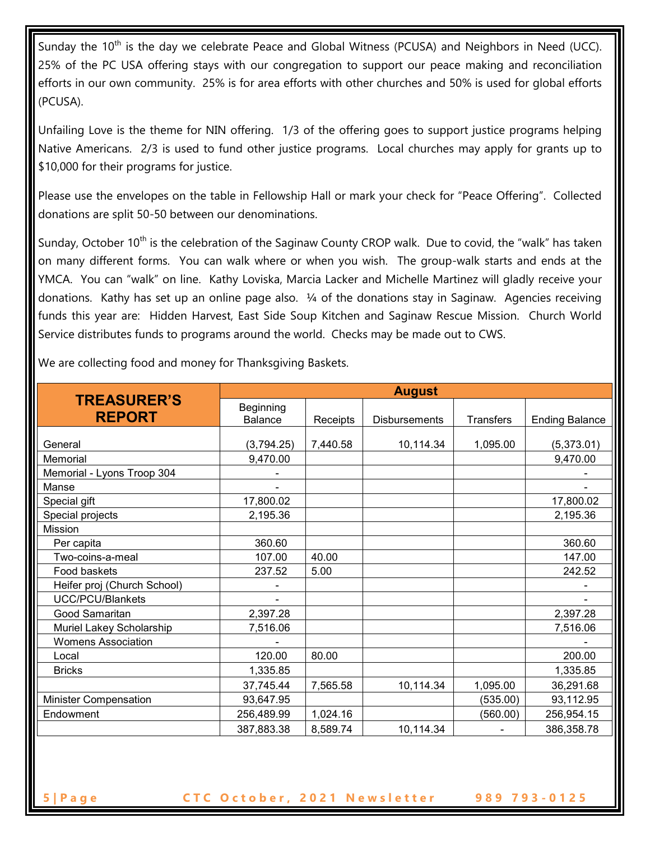Sunday the 10<sup>th</sup> is the day we celebrate Peace and Global Witness (PCUSA) and Neighbors in Need (UCC). 25% of the PC USA offering stays with our congregation to support our peace making and reconciliation efforts in our own community. 25% is for area efforts with other churches and 50% is used for global efforts (PCUSA).

Unfailing Love is the theme for NIN offering. 1/3 of the offering goes to support justice programs helping Native Americans. 2/3 is used to fund other justice programs. Local churches may apply for grants up to \$10,000 for their programs for justice.

Please use the envelopes on the table in Fellowship Hall or mark your check for "Peace Offering". Collected donations are split 50-50 between our denominations.

Sunday, October 10<sup>th</sup> is the celebration of the Saginaw County CROP walk. Due to covid, the "walk" has taken on many different forms. You can walk where or when you wish. The group-walk starts and ends at the YMCA. You can "walk" on line. Kathy Loviska, Marcia Lacker and Michelle Martinez will gladly receive your donations. Kathy has set up an online page also. ¼ of the donations stay in Saginaw. Agencies receiving funds this year are: Hidden Harvest, East Side Soup Kitchen and Saginaw Rescue Mission. Church World Service distributes funds to programs around the world. Checks may be made out to CWS.

We are collecting food and money for Thanksgiving Baskets.

| <b>TREASURER'S</b><br><b>REPORT</b> | <b>August</b>               |          |                      |           |                       |
|-------------------------------------|-----------------------------|----------|----------------------|-----------|-----------------------|
|                                     | Beginning<br><b>Balance</b> | Receipts | <b>Disbursements</b> | Transfers | <b>Ending Balance</b> |
|                                     |                             |          |                      |           |                       |
| General                             | (3,794.25)                  | 7,440.58 | 10,114.34            | 1,095.00  | (5,373.01)            |
| Memorial                            | 9,470.00                    |          |                      |           | 9,470.00              |
| Memorial - Lyons Troop 304          |                             |          |                      |           |                       |
| Manse                               |                             |          |                      |           |                       |
| Special gift                        | 17,800.02                   |          |                      |           | 17,800.02             |
| Special projects                    | 2,195.36                    |          |                      |           | 2,195.36              |
| <b>Mission</b>                      |                             |          |                      |           |                       |
| Per capita                          | 360.60                      |          |                      |           | 360.60                |
| Two-coins-a-meal                    | 107.00                      | 40.00    |                      |           | 147.00                |
| Food baskets                        | 237.52                      | 5.00     |                      |           | 242.52                |
| Heifer proj (Church School)         |                             |          |                      |           |                       |
| <b>UCC/PCU/Blankets</b>             |                             |          |                      |           |                       |
| Good Samaritan                      | 2,397.28                    |          |                      |           | 2,397.28              |
| Muriel Lakey Scholarship            | 7,516.06                    |          |                      |           | 7,516.06              |
| <b>Womens Association</b>           |                             |          |                      |           |                       |
| Local                               | 120.00                      | 80.00    |                      |           | 200.00                |
| <b>Bricks</b>                       | 1,335.85                    |          |                      |           | 1,335.85              |
|                                     | 37,745.44                   | 7,565.58 | 10,114.34            | 1,095.00  | 36,291.68             |
| <b>Minister Compensation</b>        | 93,647.95                   |          |                      | (535.00)  | 93,112.95             |
| Endowment                           | 256,489.99                  | 1,024.16 |                      | (560.00)  | 256,954.15            |
|                                     | 387,883.38                  | 8,589.74 | 10,114.34            |           | 386,358.78            |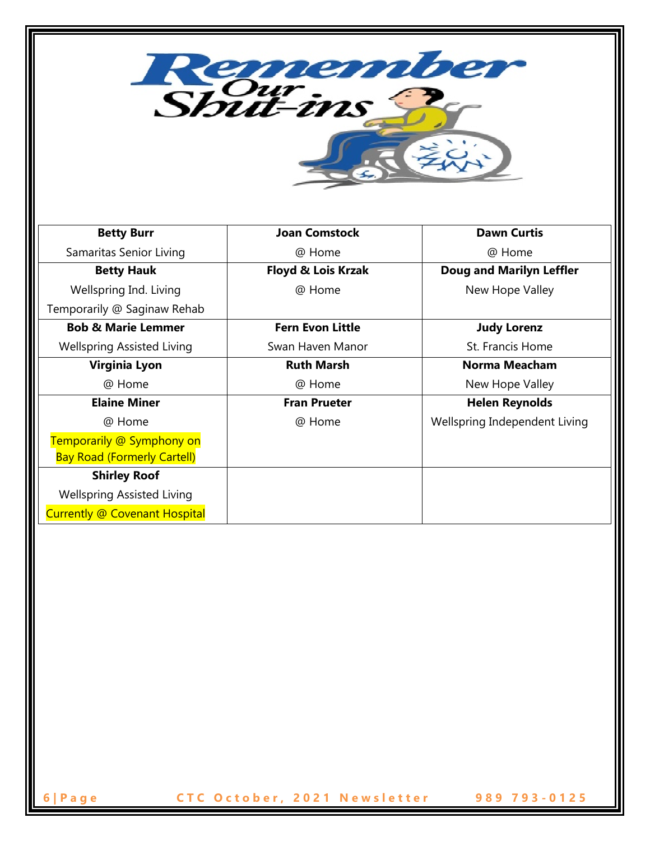Remember **Betty Burr Joan Comstock Dawn Curtis** Samaritas Senior Living @ Home @ Home **Betty Hauk Floyd & Lois Krzak Doug and Marilyn Leffler** Wellspring Ind. Living @ Home New Hope Valley Temporarily @ Saginaw Rehab **Bob & Marie Lemmer Fern Evon Little Judy Lorenz** Wellspring Assisted Living Swan Haven Manor St. Francis Home **Ruth Marsh Norma Meacham Virginia Lyon** @ Home @ Home New Hope Valley **Elaine Miner Fran Prueter Helen Reynolds** @ Home @ Home Wellspring Independent Living Temporarily @ Symphony on Bay Road (Formerly Cartell) **Shirley Roof** Wellspring Assisted Living Currently @ Covenant Hospital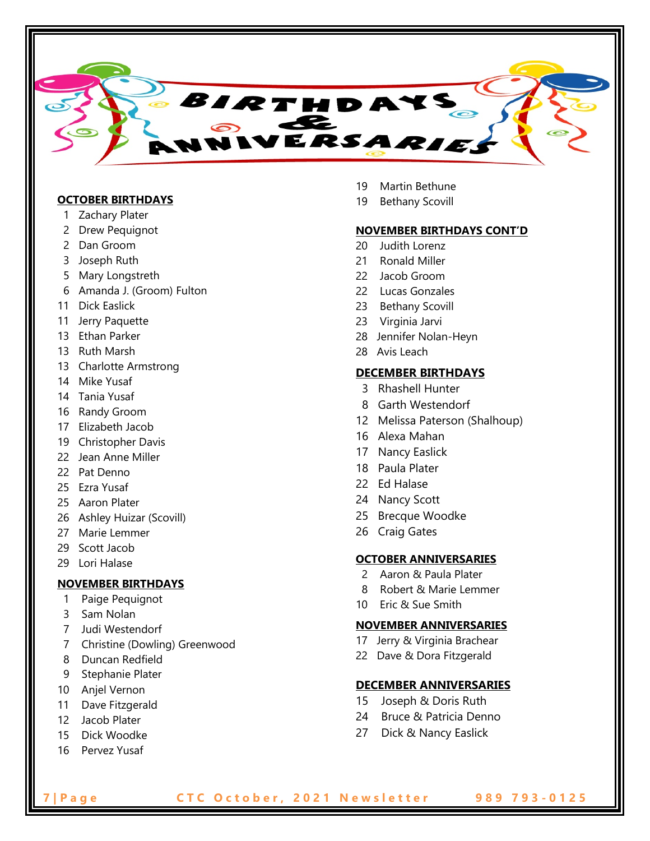

#### **OCTOBER BIRTHDAYS**

- 1 Zachary Plater
- 2 Drew Pequignot
- 2 Dan Groom
- 3 Joseph Ruth
- 5 Mary Longstreth
- 6 Amanda J. (Groom) Fulton
- 11 Dick Easlick
- 11 Jerry Paquette
- 13 Ethan Parker
- 13 Ruth Marsh
- 13 Charlotte Armstrong
- 14 Mike Yusaf
- 14 Tania Yusaf
- 16 Randy Groom
- 17 Elizabeth Jacob
- 19 Christopher Davis
- 22 Jean Anne Miller
- 22 Pat Denno
- 25 Ezra Yusaf
- 25 Aaron Plater
- 26 Ashley Huizar (Scovill)
- 27 Marie Lemmer
- 29 Scott Jacob
- 29 Lori Halase

### **NOVEMBER BIRTHDAYS**

- 1 Paige Pequignot
- 3 Sam Nolan
- 7 Judi Westendorf
- 7 Christine (Dowling) Greenwood
- 8 Duncan Redfield
- 9 Stephanie Plater
- 10 Anjel Vernon
- 11 Dave Fitzgerald
- 12 Jacob Plater
- 15 Dick Woodke
- 16 Pervez Yusaf
- 19 Martin Bethune
- 19 Bethany Scovill

#### **NOVEMBER BIRTHDAYS CONT'D**

- 20 Judith Lorenz
- 21 Ronald Miller
- 22 Jacob Groom
- 22 Lucas Gonzales
- 23 Bethany Scovill
- 23 Virginia Jarvi
- 28 Jennifer Nolan-Heyn
- 28 Avis Leach

#### **DECEMBER BIRTHDAYS**

- 3 Rhashell Hunter
- 8 Garth Westendorf
- 12 Melissa Paterson (Shalhoup)
- 16 Alexa Mahan
- 17 Nancy Easlick
- 18 Paula Plater
- 22 Ed Halase
- 24 Nancy Scott
- 25 Brecque Woodke
- 26 Craig Gates

#### **OCTOBER ANNIVERSARIES**

- 2 Aaron & Paula Plater
- 8 Robert & Marie Lemmer
- 10 Eric & Sue Smith

#### **NOVEMBER ANNIVERSARIES**

- 17 Jerry & Virginia Brachear
- 22 Dave & Dora Fitzgerald

#### **DECEMBER ANNIVERSARIES**

- 15 Joseph & Doris Ruth
- 24 Bruce & Patricia Denno
- 27 Dick & Nancy Easlick